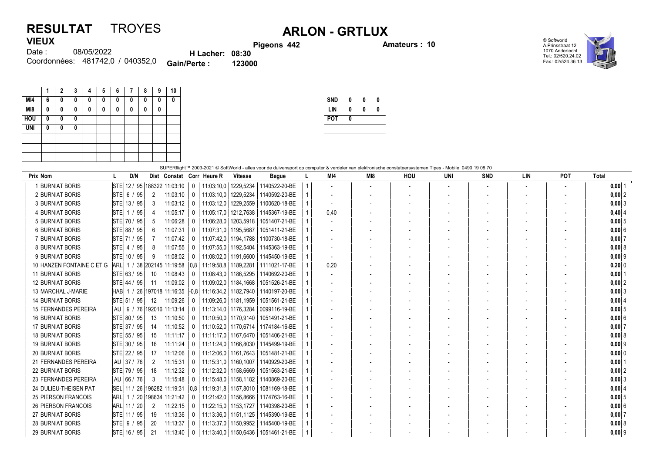## RESULTAT TROYES ARLON - GRTLUX VIEUX

Pigeons 442 **Amateurs : 10** 



08/05/2022 Coordonnées: 481742,0 / 040352,0 **Gain/Perte : 123000** Date : H Lacher: 08:30<br>Perte : 123000

|            | 1 | $\mathbf{2}$ | 3 | 4 | 5 | 6 | 7 | 8 | 9 | 10 |
|------------|---|--------------|---|---|---|---|---|---|---|----|
| MI4        | 6 | 0            | 0 | 0 | 0 | 0 | 0 | 0 | 0 | 0  |
| M18        | 0 | 0            | 0 | 0 | 0 | 0 | 0 | 0 | 0 |    |
| <b>HOU</b> | 0 | 0            | 0 |   |   |   |   |   |   |    |
| <b>UNI</b> | 0 | 0            | 0 |   |   |   |   |   |   |    |
|            |   |              |   |   |   |   |   |   |   |    |
|            |   |              |   |   |   |   |   |   |   |    |
|            |   |              |   |   |   |   |   |   |   |    |

| <b>SND</b> | 0 | Λ | Λ |
|------------|---|---|---|
| LIN        | 0 | Λ | Λ |
| <b>POT</b> | Λ |   |   |
|            |   |   |   |

|                             |            |             |                |                             |              |                           |                | SUPERflight™ 2003-2021 © SoftWorld - alles voor de duivensport op computer & verdeler van elektronische constateersystemen Tipes - Mobile: 0490 19 08 70 |      |     |                |     |            |                          |                          |           |
|-----------------------------|------------|-------------|----------------|-----------------------------|--------------|---------------------------|----------------|----------------------------------------------------------------------------------------------------------------------------------------------------------|------|-----|----------------|-----|------------|--------------------------|--------------------------|-----------|
| Prix Nom                    |            | D/N         |                |                             |              | Dist Constat Corr Heure R | <b>Vitesse</b> | <b>Bague</b>                                                                                                                                             | MI4  | MI8 | HOU            | UNI | <b>SND</b> | LIN                      | POT                      | Total     |
| 1 BURNIAT BORIS             |            |             |                | STE 12 / 95 188322 11:03:10 | 0            | 11:03:10.0                | 1229,5234      | 1140522-20-BE                                                                                                                                            |      |     | $\overline{a}$ |     |            |                          | $\overline{\phantom{a}}$ | $0,00$ 1  |
| 2 BURNIAT BORIS             |            | STE 6 / 95  | $\overline{2}$ | 11:03:10                    | 0            | 11:03:10.0                | 1229.5234      | 1140592-20-BE                                                                                                                                            |      |     |                |     |            |                          |                          | $0,00$ 2  |
| <b>3 BURNIAT BORIS</b>      |            | STE 13 / 95 | 3              | 11:03:12                    |              | 11:03:12,0                | 1229,2559      | 1100620-18-BE                                                                                                                                            |      |     |                |     |            |                          |                          | $0,00$ 3  |
| 4 BURNIAT BORIS             |            | STE 1 / 95  | 4              | 11:05:17                    | 0            | 11:05:17.0                | 1212,7638      | 1145367-19-BE                                                                                                                                            | 0.40 |     |                |     |            |                          |                          | $0,40$ 4  |
| 5 BURNIAT BORIS             |            | STE 70 / 95 | 5              | 11:06:28                    | $\Omega$     | 11:06:28,0                | 1203,5918      | 1051407-21-BE                                                                                                                                            |      |     |                |     |            |                          |                          | $0,00$ 5  |
| <b>6 BURNIAT BORIS</b>      |            | STE 88 / 95 | ĥ              | 11:07:31                    |              | 11:07:31,0                | 1195,5687      | 1051411-21-BE                                                                                                                                            |      |     |                |     |            |                          |                          | $0,00$ 6  |
| 7 BURNIAT BORIS             |            | STE 71 / 95 |                | 11:07:42                    | 0            | 11:07:42.0                | 1194.1788      | 1100730-18-BE                                                                                                                                            |      |     |                |     |            |                          |                          | 0.007     |
| 8 BURNIAT BORIS             |            | STE 4 / 95  | 8              | 11:07:55                    | 0            | 11:07:55,0                | 1192,5404      | 1145363-19-BE                                                                                                                                            |      |     |                |     |            |                          |                          | 0,008     |
| 9 BURNIAT BORIS             |            | STE 10 / 95 | 9              | 11:08:02                    |              | 11:08:02,0                | 1191.6600      | 1145450-19-BE                                                                                                                                            |      |     |                |     |            | $\overline{\phantom{0}}$ |                          | $0,00$ 9  |
| 10 HANZEN FONTAINE C ET G   | $ARL$ 1 /  |             |                | 38 202145 11:19:58          |              | $ 0.8 $ 11:19:58.8        | 1189.2281      | 1111021-17-BE                                                                                                                                            | 0,20 |     |                |     |            |                          |                          | $0,20$ 0  |
| <b>11 BURNIAT BORIS</b>     |            | STE 63 / 95 | 10             | 11:08:43                    | $\Omega$     | 11:08:43,0                | 1186,5295      | 1140692-20-BE                                                                                                                                            |      |     |                |     |            |                          |                          | $0,00$ 1  |
| <b>12 BURNIAT BORIS</b>     |            | STE 44 / 95 | 11             | 11:09:02                    |              | 11:09:02.0                | 1184.1668      | 1051526-21-BE                                                                                                                                            |      |     |                |     |            |                          |                          | $0.00$ 2  |
| 13 MARCHAL J-MARIE          | <b>HAB</b> | 1/          |                | / 26 197018 11:16:35        |              | $-0.8$ 11:16:34.2         | 1182.7940      | 1140197-20-BE                                                                                                                                            |      |     |                |     |            |                          |                          | $0,00$ 3  |
| <b>14 BURNIAT BORIS</b>     |            | STE 51 / 95 | 12             | 11:09:26                    | $\Omega$     | 11:09:26.0                | 1181,1959      | 1051561-21-BE                                                                                                                                            |      |     |                |     |            |                          |                          | $0,00$ 4  |
| <b>15 FERNANDES PEREIRA</b> | l AU       |             |                | 9 / 76 192016 11:13:14      |              | 11:13:14.0                |                | 1176,3284   0099116-19-BE                                                                                                                                |      |     |                |     |            |                          |                          | $0,00$ 5  |
| <b>16 BURNIAT BORIS</b>     |            | STE 80 / 95 | 13             | 11:10:50                    | $\bf{0}$     | 11:10:50,0                | 1170,9140      | 1051491-21-BE                                                                                                                                            |      |     |                |     |            |                          |                          | $0,00$ 6  |
| <b>17 BURNIAT BORIS</b>     |            | STE 37 / 95 | 14             | 11:10:52                    | $\mathbf{0}$ | 11:10:52.0                |                | 1170.6714   1174184-16-BE                                                                                                                                |      |     |                |     |            |                          |                          | 0.007     |
| <b>18 BURNIAT BORIS</b>     |            | STE 55 / 95 | 15             | 11:11:17                    | $\Omega$     | 11:11:17.0                | 1167.6470      | 1051406-21-BE                                                                                                                                            |      |     |                |     |            |                          |                          | $0,00$ 8  |
| <b>19 BURNIAT BORIS</b>     |            | STE 30 / 95 | 16             | 11:11:24                    | 0            | 11:11:24.0                | 1166,8030      | 1145499-19-BE                                                                                                                                            |      |     |                |     |            |                          |                          | $0,00$ 9  |
| <b>20 BURNIAT BORIS</b>     |            | STE 22 / 95 | 17             | 11:12:06                    | $\Omega$     | 11:12:06,0                | 1161,7643      | 1051481-21-BE                                                                                                                                            |      |     |                |     |            |                          |                          | $0,00$ 0  |
| 21 FERNANDES PEREIRA        |            | AU 37 / 76  | $\overline{2}$ | 11:15:31                    |              | 11:15:31,0                | 1160,1007      | 1140929-20-BE                                                                                                                                            |      |     |                |     |            |                          |                          | $0,00$  1 |
| <b>22 BURNIAT BORIS</b>     |            | STE 79 / 95 | 18             | 11:12:32                    |              | 11:12:32,0                | 1158,6669      | 1051563-21-BE                                                                                                                                            |      |     |                |     |            |                          |                          | $0,00$ 2  |
| 23 FERNANDES PEREIRA        |            | AU 66 / 76  | 3              | 11:15:48                    |              | 11:15:48.0                | 1158.1182      | 1140869-20-BE                                                                                                                                            |      |     |                |     |            |                          |                          | $0,00$ 3  |
| 24 DULIEU-THEISEN PAT       |            |             |                | SEL 11 / 26 196282 11:19:31 |              | $ 0.8 $ 11:19:31.8        | 1157.8010      | 1081169-18-BE                                                                                                                                            |      |     |                |     |            |                          |                          | $0,00$ 4  |
| 25 PIERSON FRANCOIS         | <b>ARL</b> | 1/          |                | 20 198634 11:21:42          | 0            | 11:21:42,0                | 1156,8666      | 1174763-16-BE                                                                                                                                            |      |     |                |     |            |                          |                          | $0,00$ 5  |
| <b>26 PIERSON FRANCOIS</b>  |            | ARL 11 / 20 | 2              | 11:22:15                    |              | 11:22:15.0                | 1153,1727      | 1140398-20-BE                                                                                                                                            |      |     |                |     |            |                          |                          | 0.006     |
| <b>27 BURNIAT BORIS</b>     |            | STE 11 / 95 | 19             | 11:13:36                    | 0            | 11:13:36,0                |                | 1151,1125   1145390-19-BE                                                                                                                                |      |     |                |     |            |                          |                          | $0,00$ 7  |
| <b>28 BURNIAT BORIS</b>     |            | STE 9 / 95  | 20             | 11:13:37                    | 0            | 11:13:37.0                |                | 1150,9952   1145400-19-BE                                                                                                                                |      |     |                |     |            |                          |                          | $0,00$ 8  |
| <b>29 BURNIAT BORIS</b>     |            | STE 16 / 95 | 21             | 11:13:40                    | 0            |                           |                | 11:13:40,0   1150,6436   1051461-21-BE                                                                                                                   |      |     |                |     |            |                          |                          | $0,00$ 9  |
|                             |            |             |                |                             |              |                           |                |                                                                                                                                                          |      |     |                |     |            |                          |                          |           |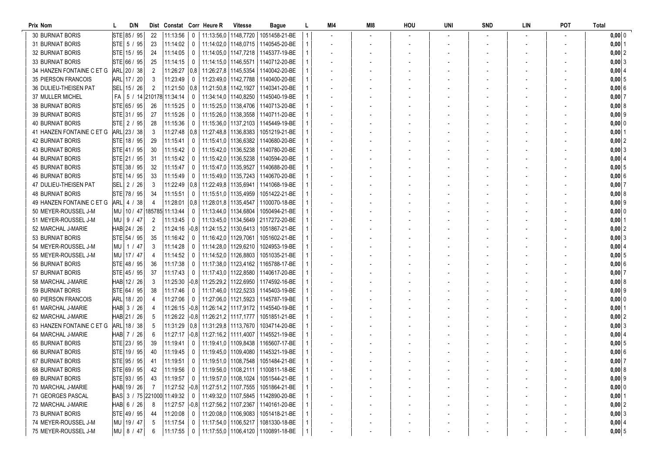| Prix Nom                  | D/N                              |                | Dist Constat Corr Heure R |                |                                         | <b>Vitesse</b>                          | Bague                                      |   | MI4 | MI8 | HOU | UNI | <b>SND</b> | LIN | POT | Total          |
|---------------------------|----------------------------------|----------------|---------------------------|----------------|-----------------------------------------|-----------------------------------------|--------------------------------------------|---|-----|-----|-----|-----|------------|-----|-----|----------------|
| <b>30 BURNIAT BORIS</b>   | STE 85 / 95                      | 22             | 11:13:56                  | $\overline{0}$ | 11:13:56.0   1148.7720                  |                                         | 1051458-21-BE                              |   |     |     |     |     |            |     |     | $0,00$ 0       |
| <b>31 BURNIAT BORIS</b>   | STE 5 / 95                       | 23             | 11:14:02                  | $\mathbf 0$    |                                         | 11:14:02.0   1148.0715                  | 1140545-20-BE                              |   |     |     |     |     |            |     |     | $0,00$ 1       |
| <b>32 BURNIAT BORIS</b>   | STE 15 / 95                      | -24            | 11:14:05                  | 0              |                                         | 11:14:05,0   1147,7218                  | 1145377-19-BE                              |   |     |     |     |     |            |     |     | $0,00$ 2       |
| <b>33 BURNIAT BORIS</b>   | STE 66 / 95                      | 25             | 11:14:15                  | $\mathbf 0$    | 11:14:15,0   1146,5571                  |                                         | 1140712-20-BE                              |   |     |     |     |     |            |     |     | 0,00 3         |
| 34 HANZEN FONTAINE C ET G | ARL 20 / 38                      | -2             | 11:26:27                  | 0,8            | 11:26:27,8   1145,5354                  |                                         | 1140042-20-BE                              |   |     |     |     |     |            |     |     | $0,00$ 4       |
| 35 PIERSON FRANCOIS       | ARL 17 / 20                      | 3              | 11:23:49                  | 0              | 11:23:49,0 1142,7788                    |                                         | 1140400-20-BE                              |   |     |     |     |     |            |     |     | $0,00 \, \, 5$ |
| 36 DULIEU-THEISEN PAT     | SEL 15 / 26                      | $\overline{2}$ | 11:21:50                  | 0.8            | 11:21:50,8   1142,1927                  |                                         | 1140341-20-BE                              |   |     |     |     |     |            |     |     | $0,00 \, 6$    |
| <b>37 MULLER MICHEL</b>   | FA   5 / 14 210178 11:34:14      |                |                           | 0              | 11:34:14.0   1140.8250                  |                                         | 1145040-19-BE                              |   |     |     |     |     |            |     |     | 0,00 7         |
| <b>38 BURNIAT BORIS</b>   | STE 65 / 95                      | 26             | 11:15:25                  | 0              |                                         | 11:15:25,0   1138,4706                  | 1140713-20-BE                              |   |     |     |     |     |            |     |     | 0,00 8         |
| 39 BURNIAT BORIS          | STE 31 / 95                      | -27            | 11:15:26                  | 0              |                                         | 11:15:26.0   1138.3558                  | 1140711-20-BE                              |   |     |     |     |     |            |     |     | $0,00$ 9       |
| <b>40 BURNIAT BORIS</b>   | STE 2 / 95                       | 28             | 11:15:36                  | 0              |                                         | 11:15:36.0 1137.2103                    | 1145449-19-BE                              |   |     |     |     |     |            |     |     | 0,00 0         |
| 41 HANZEN FONTAINE C ET G | ARL 23 / 38                      | -3             |                           |                | 11:27:48   0,8   11:27:48,8   1136,8383 |                                         | 1051219-21-BE                              |   |     |     |     |     |            |     |     | $0,00$ 1       |
| <b>42 BURNIAT BORIS</b>   | STE 18 / 95                      | -29            | 11:15:41                  | 0              | 11:15:41,0   1136,6382                  |                                         | 1140680-20-BE                              |   |     |     |     |     |            |     |     | 0,002          |
| <b>43 BURNIAT BORIS</b>   | STE 41 / 95                      | 30             | 11:15:42                  | 0              | 11:15:42,0   1136,5238                  |                                         | 1140780-20-BE                              |   |     |     |     |     |            |     |     | $0,00$ 3       |
| <b>44 BURNIAT BORIS</b>   | STE 21 / 95                      | -31            | 11:15:42                  | 0              | 11:15:42,0   1136,5238                  |                                         | 1140594-20-BE                              |   |     |     |     |     |            |     |     | 0,00 4         |
| <b>45 BURNIAT BORIS</b>   | STE 38 / 95                      | -32            | 11:15:47                  | 0              | 11:15:47,0   1135,9527                  |                                         | 1140688-20-BE                              |   |     |     |     |     |            |     |     | $0,00$ 5       |
| <b>46 BURNIAT BORIS</b>   | STE 14 / 95                      | -33            | 11:15:49                  | 0              | 11:15:49,0   1135,7243                  |                                         | 1140670-20-BE                              |   |     |     |     |     |            |     |     | $0,00 \, 6$    |
| 47 DULIEU-THEISEN PAT     | SEL 2 / 26                       | -3             |                           |                | 11:22:49   0,8   11:22:49,8   1135,6941 |                                         | 1141068-19-BE                              |   |     |     |     |     |            |     |     | $0,00$ 7       |
| <b>48 BURNIAT BORIS</b>   | STE 78 / 95                      | -34            | 11:15:51                  | 0              |                                         | 11:15:51.0   1135.4959                  | 1051422-21-BE                              |   |     |     |     |     |            |     |     | 0,00 8         |
| 49 HANZEN FONTAINE C ET G | ARL 4 / 38                       | 4              |                           |                |                                         | 11:28:01   0,8   11:28:01,8   1135,4547 | 1100070-18-BE                              |   |     |     |     |     |            |     |     | $0,00$ 9       |
| 50 MEYER-ROUSSEL J-M      | MU   10 / 47   185785   11:13:44 |                |                           | 0              | 11:13:44.0   1134.6804                  |                                         | 1050494-21-BE                              |   |     |     |     |     |            |     |     | 0,00 0         |
| 51 MEYER-ROUSSEL J-M      | MU 9 / 47                        | 2              | 11:13:45                  | 0              |                                         | 11:13:45.0   1134.5649                  | 2117272-20-BE                              |   |     |     |     |     |            |     |     | $0,00$ 1       |
| 52 MARCHAL J-MARIE        | HAB 24 / 26                      | -2             |                           |                | 11:24:16 -0,8 11:24:15,2 1130,6413      |                                         | 1051867-21-BE                              |   |     |     |     |     |            |     |     | 0,002          |
| 53 BURNIAT BORIS          | STE 54 / 95                      | 35             | 11:16:42                  | 0              | 11:16:42,0 1129,7061                    |                                         | 1051602-21-BE                              |   |     |     |     |     |            |     |     | $0,00$ 3       |
| 54 MEYER-ROUSSEL J-M      | MU   1 / 47                      | 3              | 11:14:28                  | 0              | 11:14:28,0   1129,6210                  |                                         | 1024953-19-BE                              |   |     |     |     |     |            |     |     | 0,00 4         |
| 55 MEYER-ROUSSEL J-M      | MU   17 / 47                     | 4              | 11:14:52                  | 0              | 11:14:52.0   1126.8803                  |                                         | 1051035-21-BE                              |   |     |     |     |     |            |     |     | 0,005          |
| 56 BURNIAT BORIS          | STE 48 / 95                      | 36             | 11:17:38                  | 0              | 11:17:38,0 1123,4162                    |                                         | 1165788-17-BE                              |   |     |     |     |     |            |     |     | 0,00 6         |
| 57 BURNIAT BORIS          | STE 45 / 95                      | -37            | 11:17:43                  | 0              |                                         | 11:17:43,0   1122,8580                  | 1140617-20-BE                              |   |     |     |     |     |            |     |     | 0,00 7         |
| 58 MARCHAL J-MARIE        | HAB 12 / 26                      | -3             | 11:25:30                  |                | -0,8 11:25:29,2 1122,6950               |                                         | 1174592-16-BE                              |   |     |     |     |     |            |     |     | 0,00 8         |
| 59 BURNIAT BORIS          | STE 64 / 95                      | -38            | 11:17:46                  | 0              |                                         | 11:17:46,0   1122,5233                  | 1145403-19-BE                              |   |     |     |     |     |            |     |     | $0,00$ 9       |
| 60 PIERSON FRANCOIS       | ARL 18 / 20                      | 4              | 11:27:06                  | 0              | 11:27:06,0   1121,5923                  |                                         | 1145787-19-BE                              |   |     |     |     |     |            |     |     | $0,00$ 0       |
| 61 MARCHAL J-MARIE        | HAB 3 / 26                       |                | 11:26:15                  |                | -0,8 11:26:14,2 1117,9172               |                                         | 1145540-19-BE                              |   |     |     |     |     |            |     |     | $0,00$   1     |
| 62 MARCHAL J-MARIE        | HAB 21 / 26                      |                | 11:26:22                  |                | $-0.8$ 11:26:21,2 1117,1777             |                                         | 1051851-21-BE                              |   |     |     |     |     |            |     |     | 0,002          |
| 63 HANZEN FONTAINE C ET G | ARL 18 / 38                      |                |                           |                | 11:31:29   0,8   11:31:29,8   1113,7670 |                                         | 1034714-20-BE                              |   |     |     |     |     |            |     |     | $0,00$ 3       |
| 64 MARCHAL J-MARIE        | HAB 7 / 26                       | -6             | 11:27:17                  |                | $-0.8$ 11:27:16.2 1111.4007             |                                         | 1145521-19-BE                              |   |     |     |     |     |            |     |     | $0,00$ 4       |
| 65 BURNIAT BORIS          | STE 23 / 95                      | -39            | 11:19:41                  | 0              | 11:19:41,0   1109,8438                  |                                         | 1165607-17-BE                              |   |     |     |     |     |            |     |     | $0,00$ 5       |
| <b>66 BURNIAT BORIS</b>   | STE 19 / 95                      | -40            | 11:19:45                  | 0              |                                         | 11:19:45.0   1109.4080                  | 1145321-19-BE                              |   |     |     |     |     |            |     |     | 0,00 6         |
| <b>67 BURNIAT BORIS</b>   | STE 95 / 95                      | -41            | 11:19:51                  | 0              |                                         | 11:19:51,0   1108,7548                  | 1051484-21-BE                              |   |     |     |     |     |            |     |     | $0,00$ 7       |
| <b>68 BURNIAT BORIS</b>   | STE 69/95                        | 42             | 11:19:56                  |                |                                         |                                         | 0   11:19:56,0  1108,2111   1100811-18-BE  | 1 |     |     |     |     |            |     |     | 0,00   8       |
| <b>69 BURNIAT BORIS</b>   | STE 93 / 95                      | -43            | 11:19:57                  |                |                                         |                                         | 0   11:19:57,0   1108,1024   1051544-21-BE | 1 |     |     |     |     |            |     |     | 0,00   9       |
| 70 MARCHAL J-MARIE        | HAB 19 / 26                      | $\overline{7}$ |                           |                |                                         |                                         | 1051864-21-BE                              |   |     |     |     |     |            |     |     | $0,00$ 0       |
| 71 GEORGES PASCAL         | BAS 3 / 75 221000 11:49:32       |                |                           | $\mathbf 0$    |                                         |                                         | 11:49:32,0   1107,5845   1142890-20-BE     |   |     |     |     |     |            |     |     | $0,00$ 1       |
| 72 MARCHAL J-MARIE        | $HAB$ 6 / 26                     | -8             |                           |                |                                         | 11:27:57 -0,8 11:27:56,2 1107,2367      | 1140161-20-BE                              |   |     |     |     |     |            |     |     | $0,00$ 2       |
| <b>73 BURNIAT BORIS</b>   | STE 49/95                        | -44            | 11:20:08                  | $\mathbf 0$    |                                         | 11:20:08,0   1106,9083                  | 1051418-21-BE                              |   |     |     |     |     |            |     |     | $0,00$ 3       |
| 74 MEYER-ROUSSEL J-M      | MU   19 / 47                     | -5             | $11:17:54$ 0              |                |                                         | 11:17:54,0   1106,5217                  | 1081330-18-BE                              |   |     |     |     |     |            |     |     | $0,00$ 4       |
| 75 MEYER-ROUSSEL J-M      | MU   8 / 47                      | 6              | 11:17:55                  | $\overline{0}$ |                                         |                                         | 11:17:55,0   1106,4120   1100891-18-BE     |   |     |     |     |     |            |     |     | $0,00$ 5       |